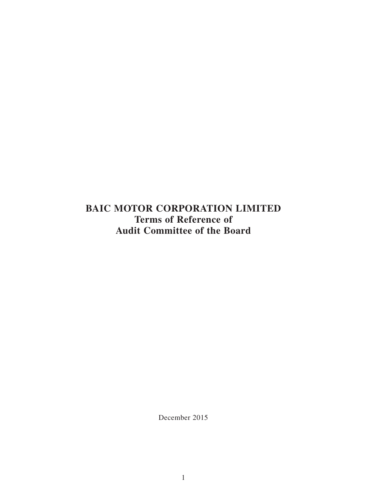**BAIC MOTOR CORPORATION LIMITED Terms of Reference of Audit Committee of the Board**

December 2015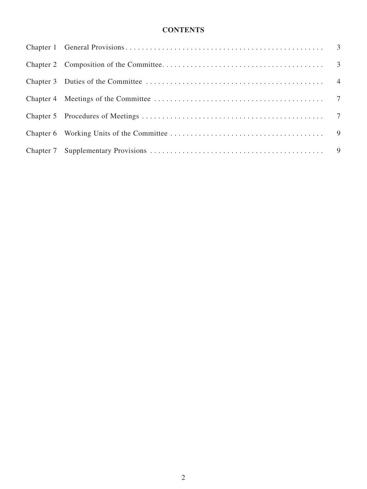# **CONTENTS**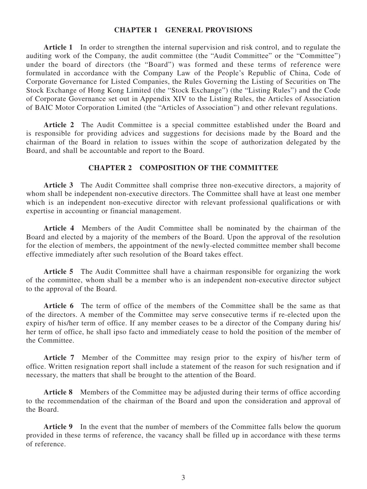#### **Chapter 1 General Provisions**

**Article 1** In order to strengthen the internal supervision and risk control, and to regulate the auditing work of the Company, the audit committee (the "Audit Committee" or the "Committee") under the board of directors (the "Board") was formed and these terms of reference were formulated in accordance with the Company Law of the People's Republic of China, Code of Corporate Governance for Listed Companies, the Rules Governing the Listing of Securities on The Stock Exchange of Hong Kong Limited (the "Stock Exchange") (the "Listing Rules") and the Code of Corporate Governance set out in Appendix XIV to the Listing Rules, the Articles of Association of BAIC Motor Corporation Limited (the "Articles of Association") and other relevant regulations.

**Article 2** The Audit Committee is a special committee established under the Board and is responsible for providing advices and suggestions for decisions made by the Board and the chairman of the Board in relation to issues within the scope of authorization delegated by the Board, and shall be accountable and report to the Board.

# **Chapter 2 Composition of the Committee**

**Article 3** The Audit Committee shall comprise three non-executive directors, a majority of whom shall be independent non-executive directors. The Committee shall have at least one member which is an independent non-executive director with relevant professional qualifications or with expertise in accounting or financial management.

**Article 4** Members of the Audit Committee shall be nominated by the chairman of the Board and elected by a majority of the members of the Board. Upon the approval of the resolution for the election of members, the appointment of the newly-elected committee member shall become effective immediately after such resolution of the Board takes effect.

**Article 5** The Audit Committee shall have a chairman responsible for organizing the work of the committee, whom shall be a member who is an independent non-executive director subject to the approval of the Board.

**Article 6** The term of office of the members of the Committee shall be the same as that of the directors. A member of the Committee may serve consecutive terms if re-elected upon the expiry of his/her term of office. If any member ceases to be a director of the Company during his/ her term of office, he shall ipso facto and immediately cease to hold the position of the member of the Committee.

**Article 7** Member of the Committee may resign prior to the expiry of his/her term of office. Written resignation report shall include a statement of the reason for such resignation and if necessary, the matters that shall be brought to the attention of the Board.

**Article 8** Members of the Committee may be adjusted during their terms of office according to the recommendation of the chairman of the Board and upon the consideration and approval of the Board.

**Article 9** In the event that the number of members of the Committee falls below the quorum provided in these terms of reference, the vacancy shall be filled up in accordance with these terms of reference.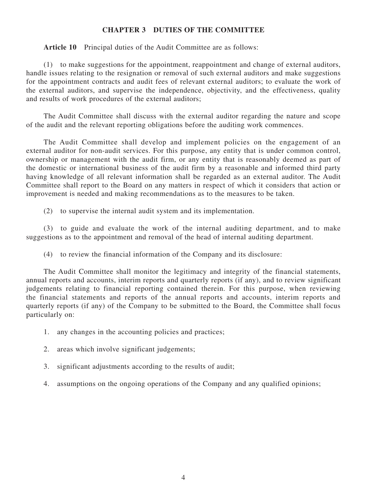## **Chapter 3 Duties of the Committee**

**Article 10** Principal duties of the Audit Committee are as follows:

(1) to make suggestions for the appointment, reappointment and change of external auditors, handle issues relating to the resignation or removal of such external auditors and make suggestions for the appointment contracts and audit fees of relevant external auditors; to evaluate the work of the external auditors, and supervise the independence, objectivity, and the effectiveness, quality and results of work procedures of the external auditors;

The Audit Committee shall discuss with the external auditor regarding the nature and scope of the audit and the relevant reporting obligations before the auditing work commences.

The Audit Committee shall develop and implement policies on the engagement of an external auditor for non-audit services. For this purpose, any entity that is under common control, ownership or management with the audit firm, or any entity that is reasonably deemed as part of the domestic or international business of the audit firm by a reasonable and informed third party having knowledge of all relevant information shall be regarded as an external auditor. The Audit Committee shall report to the Board on any matters in respect of which it considers that action or improvement is needed and making recommendations as to the measures to be taken.

(2) to supervise the internal audit system and its implementation.

(3) to guide and evaluate the work of the internal auditing department, and to make suggestions as to the appointment and removal of the head of internal auditing department.

(4) to review the financial information of the Company and its disclosure:

The Audit Committee shall monitor the legitimacy and integrity of the financial statements, annual reports and accounts, interim reports and quarterly reports (if any), and to review significant judgements relating to financial reporting contained therein. For this purpose, when reviewing the financial statements and reports of the annual reports and accounts, interim reports and quarterly reports (if any) of the Company to be submitted to the Board, the Committee shall focus particularly on:

- 1. any changes in the accounting policies and practices;
- 2. areas which involve significant judgements;
- 3. significant adjustments according to the results of audit;
- 4. assumptions on the ongoing operations of the Company and any qualified opinions;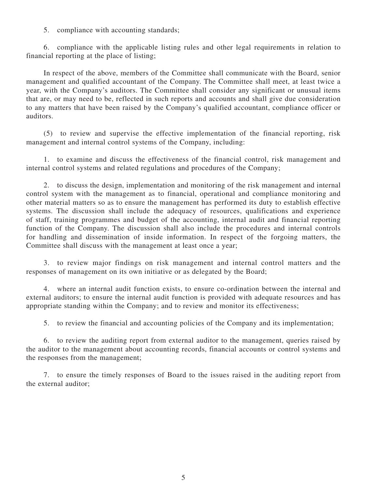5. compliance with accounting standards;

6. compliance with the applicable listing rules and other legal requirements in relation to financial reporting at the place of listing;

In respect of the above, members of the Committee shall communicate with the Board, senior management and qualified accountant of the Company. The Committee shall meet, at least twice a year, with the Company's auditors. The Committee shall consider any significant or unusual items that are, or may need to be, reflected in such reports and accounts and shall give due consideration to any matters that have been raised by the Company's qualified accountant, compliance officer or auditors.

(5) to review and supervise the effective implementation of the financial reporting, risk management and internal control systems of the Company, including:

1. to examine and discuss the effectiveness of the financial control, risk management and internal control systems and related regulations and procedures of the Company;

2. to discuss the design, implementation and monitoring of the risk management and internal control system with the management as to financial, operational and compliance monitoring and other material matters so as to ensure the management has performed its duty to establish effective systems. The discussion shall include the adequacy of resources, qualifications and experience of staff, training programmes and budget of the accounting, internal audit and financial reporting function of the Company. The discussion shall also include the procedures and internal controls for handling and dissemination of inside information. In respect of the forgoing matters, the Committee shall discuss with the management at least once a year;

3. to review major findings on risk management and internal control matters and the responses of management on its own initiative or as delegated by the Board;

4. where an internal audit function exists, to ensure co-ordination between the internal and external auditors; to ensure the internal audit function is provided with adequate resources and has appropriate standing within the Company; and to review and monitor its effectiveness;

5. to review the financial and accounting policies of the Company and its implementation;

6. to review the auditing report from external auditor to the management, queries raised by the auditor to the management about accounting records, financial accounts or control systems and the responses from the management;

7. to ensure the timely responses of Board to the issues raised in the auditing report from the external auditor;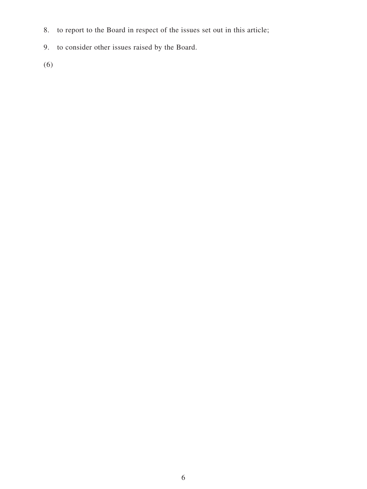- 8. to report to the Board in respect of the issues set out in this article;
- 9. to consider other issues raised by the Board.
- (6)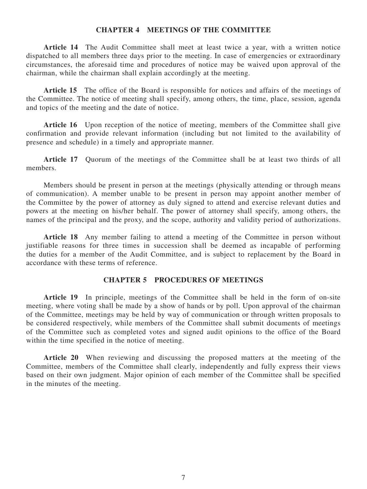#### **Chapter 4 Meetings of the Committee**

**Article 14** The Audit Committee shall meet at least twice a year, with a written notice dispatched to all members three days prior to the meeting. In case of emergencies or extraordinary circumstances, the aforesaid time and procedures of notice may be waived upon approval of the chairman, while the chairman shall explain accordingly at the meeting.

Article 15 The office of the Board is responsible for notices and affairs of the meetings of the Committee. The notice of meeting shall specify, among others, the time, place, session, agenda and topics of the meeting and the date of notice.

Article 16 Upon reception of the notice of meeting, members of the Committee shall give confirmation and provide relevant information (including but not limited to the availability of presence and schedule) in a timely and appropriate manner.

**Article 17** Quorum of the meetings of the Committee shall be at least two thirds of all members.

Members should be present in person at the meetings (physically attending or through means of communication). A member unable to be present in person may appoint another member of the Committee by the power of attorney as duly signed to attend and exercise relevant duties and powers at the meeting on his/her behalf. The power of attorney shall specify, among others, the names of the principal and the proxy, and the scope, authority and validity period of authorizations.

Article 18 Any member failing to attend a meeting of the Committee in person without justifiable reasons for three times in succession shall be deemed as incapable of performing the duties for a member of the Audit Committee, and is subject to replacement by the Board in accordance with these terms of reference.

# **Chapter 5 Procedures of Meetings**

Article 19 In principle, meetings of the Committee shall be held in the form of on-site meeting, where voting shall be made by a show of hands or by poll. Upon approval of the chairman of the Committee, meetings may be held by way of communication or through written proposals to be considered respectively, while members of the Committee shall submit documents of meetings of the Committee such as completed votes and signed audit opinions to the office of the Board within the time specified in the notice of meeting.

Article 20 When reviewing and discussing the proposed matters at the meeting of the Committee, members of the Committee shall clearly, independently and fully express their views based on their own judgment. Major opinion of each member of the Committee shall be specified in the minutes of the meeting.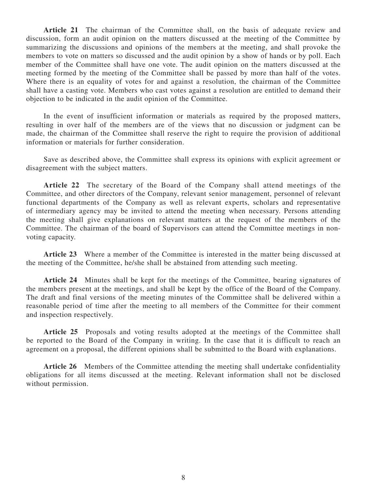**Article 21** The chairman of the Committee shall, on the basis of adequate review and discussion, form an audit opinion on the matters discussed at the meeting of the Committee by summarizing the discussions and opinions of the members at the meeting, and shall provoke the members to vote on matters so discussed and the audit opinion by a show of hands or by poll. Each member of the Committee shall have one vote. The audit opinion on the matters discussed at the meeting formed by the meeting of the Committee shall be passed by more than half of the votes. Where there is an equality of votes for and against a resolution, the chairman of the Committee shall have a casting vote. Members who cast votes against a resolution are entitled to demand their objection to be indicated in the audit opinion of the Committee.

In the event of insufficient information or materials as required by the proposed matters, resulting in over half of the members are of the views that no discussion or judgment can be made, the chairman of the Committee shall reserve the right to require the provision of additional information or materials for further consideration.

Save as described above, the Committee shall express its opinions with explicit agreement or disagreement with the subject matters.

**Article 22** The secretary of the Board of the Company shall attend meetings of the Committee, and other directors of the Company, relevant senior management, personnel of relevant functional departments of the Company as well as relevant experts, scholars and representative of intermediary agency may be invited to attend the meeting when necessary. Persons attending the meeting shall give explanations on relevant matters at the request of the members of the Committee. The chairman of the board of Supervisors can attend the Committee meetings in nonvoting capacity.

**Article 23** Where a member of the Committee is interested in the matter being discussed at the meeting of the Committee, he/she shall be abstained from attending such meeting.

**Article 24** Minutes shall be kept for the meetings of the Committee, bearing signatures of the members present at the meetings, and shall be kept by the office of the Board of the Company. The draft and final versions of the meeting minutes of the Committee shall be delivered within a reasonable period of time after the meeting to all members of the Committee for their comment and inspection respectively.

Article 25 Proposals and voting results adopted at the meetings of the Committee shall be reported to the Board of the Company in writing. In the case that it is difficult to reach an agreement on a proposal, the different opinions shall be submitted to the Board with explanations.

**Article 26** Members of the Committee attending the meeting shall undertake confidentiality obligations for all items discussed at the meeting. Relevant information shall not be disclosed without permission.